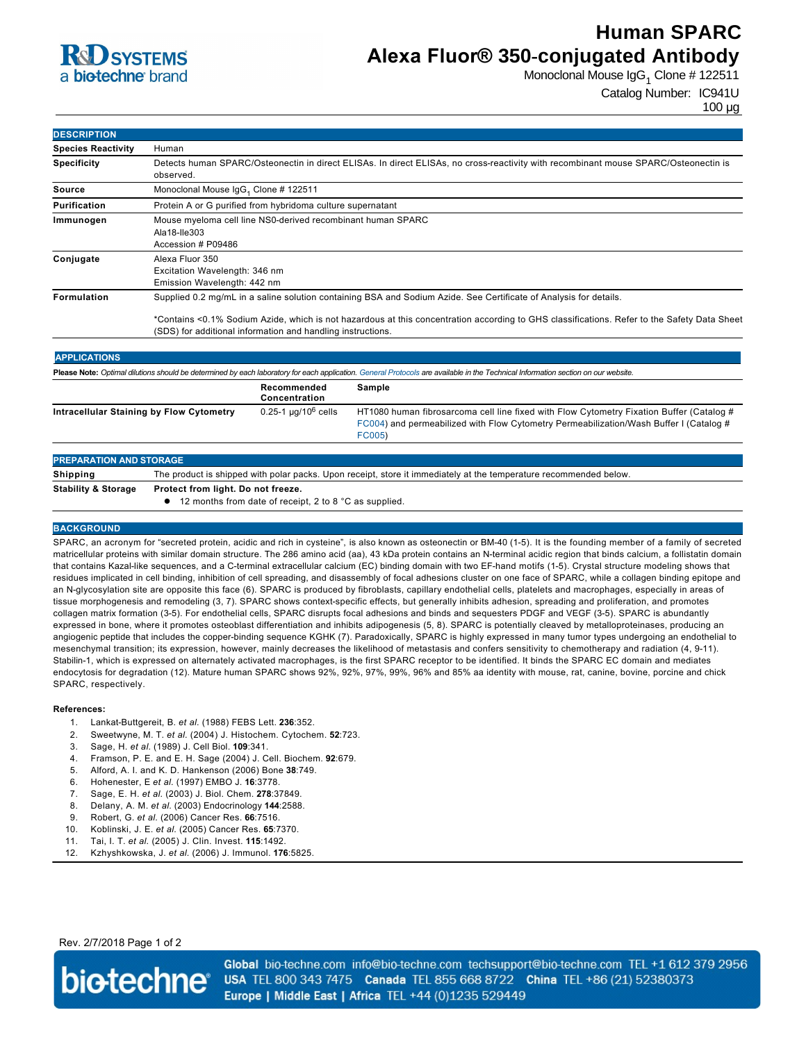

# **Human SPARC Alexa Fluor® 350-conjugated Antibody**

Monoclonal Mouse IgG<sub>1</sub> Clone # 122511

Catalog Number: IC941U

100 µg

| <b>DESCRIPTION</b> |  |
|--------------------|--|
| .                  |  |

| <b>Species Reactivity</b> | Human                                                                                                                                                                                                      |  |  |
|---------------------------|------------------------------------------------------------------------------------------------------------------------------------------------------------------------------------------------------------|--|--|
| <b>Specificity</b>        | Detects human SPARC/Osteonectin in direct ELISAs. In direct ELISAs, no cross-reactivity with recombinant mouse SPARC/Osteonectin is<br>observed.                                                           |  |  |
| Source                    | Monoclonal Mouse IgG, Clone # 122511                                                                                                                                                                       |  |  |
| Purification              | Protein A or G purified from hybridoma culture supernatant                                                                                                                                                 |  |  |
| Immunogen                 | Mouse myeloma cell line NS0-derived recombinant human SPARC<br>Ala18-Ile303<br>Accession # P09486                                                                                                          |  |  |
| Conjugate                 | Alexa Fluor 350<br>Excitation Wavelength: 346 nm<br>Emission Wavelength: 442 nm                                                                                                                            |  |  |
| <b>Formulation</b>        | Supplied 0.2 mg/mL in a saline solution containing BSA and Sodium Azide. See Certificate of Analysis for details.                                                                                          |  |  |
|                           | *Contains <0.1% Sodium Azide, which is not hazardous at this concentration according to GHS classifications. Refer to the Safety Data Sheet<br>(SDS) for additional information and handling instructions. |  |  |

| <b>APPLICATIONS</b>                                                                                                                                                               |                               |                                                                                                                                                                                              |  |  |  |
|-----------------------------------------------------------------------------------------------------------------------------------------------------------------------------------|-------------------------------|----------------------------------------------------------------------------------------------------------------------------------------------------------------------------------------------|--|--|--|
| Please Note: Optimal dilutions should be determined by each laboratory for each application. General Protocols are available in the Technical Information section on our website. |                               |                                                                                                                                                                                              |  |  |  |
|                                                                                                                                                                                   | Recommended<br>Concentration  | Sample                                                                                                                                                                                       |  |  |  |
| Intracellular Staining by Flow Cytometry                                                                                                                                          | $0.25 - 1 \mu q / 10^6$ cells | HT1080 human fibrosarcoma cell line fixed with Flow Cytometry Fixation Buffer (Catalog #<br>FC004) and permeabilized with Flow Cytometry Permeabilization/Wash Buffer I (Catalog #<br>FC005) |  |  |  |
| <b>PREPARATION AND STORAGE</b>                                                                                                                                                    |                               |                                                                                                                                                                                              |  |  |  |

| TING ANATION AND STONAGE.      |                                                                                                                   |  |
|--------------------------------|-------------------------------------------------------------------------------------------------------------------|--|
| Shipping                       | The product is shipped with polar packs. Upon receipt, store it immediately at the temperature recommended below. |  |
| <b>Stability &amp; Storage</b> | Protect from light. Do not freeze.                                                                                |  |
|                                | $\bullet$ 12 months from date of receipt, 2 to 8 °C as supplied.                                                  |  |
|                                |                                                                                                                   |  |

#### **BACKGROUND**

SPARC, an acronym for "secreted protein, acidic and rich in cysteine", is also known as osteonectin or BM-40 (1-5). It is the founding member of a family of secreted matricellular proteins with similar domain structure. The 286 amino acid (aa), 43 kDa protein contains an Nterminal acidic region that binds calcium, a follistatin domain that contains Kazal-like sequences, and a C-terminal extracellular calcium (EC) binding domain with two EF-hand motifs (1-5). Crystal structure modeling shows that residues implicated in cell binding, inhibition of cell spreading, and disassembly of focal adhesions cluster on one face of SPARC, while a collagen binding epitope and an N-glycosylation site are opposite this face (6). SPARC is produced by fibroblasts, capillary endothelial cells, platelets and macrophages, especially in areas of tissue morphogenesis and remodeling (3, 7). SPARC shows context-specific effects, but generally inhibits adhesion, spreading and proliferation, and promotes collagen matrix formation (35). For endothelial cells, SPARC disrupts focal adhesions and binds and sequesters PDGF and VEGF (35). SPARC is abundantly expressed in bone, where it promotes osteoblast differentiation and inhibits adipogenesis (5, 8). SPARC is potentially cleaved by metalloproteinases, producing an angiogenic peptide that includes the copper-binding sequence KGHK (7). Paradoxically, SPARC is highly expressed in many tumor types undergoing an endothelial to mesenchymal transition; its expression, however, mainly decreases the likelihood of metastasis and confers sensitivity to chemotherapy and radiation (4, 911). Stabilin-1, which is expressed on alternately activated macrophages, is the first SPARC receptor to be identified. It binds the SPARC EC domain and mediates endocytosis for degradation (12). Mature human SPARC shows 92%, 92%, 97%, 99%, 96% and 85% aa identity with mouse, rat, canine, bovine, porcine and chick SPARC, respectively.

#### **References:**

- 1. Lankat-Buttgereit, B. et al. (1988) FEBS Lett. 236:352.
- 2. Sweetwyne, M. T. *et al.* (2004) J. Histochem. Cytochem. **52**:723.
- 3. Sage, H. *et al.* (1989) J. Cell Biol. **109**:341.
- 4. Framson, P. E. and E. H. Sage (2004) J. Cell. Biochem. **92**:679.
- 5. Alford, A. I. and K. D. Hankenson (2006) Bone **38**:749.
- 6. Hohenester, E *et al.* (1997) EMBO J. **16**:3778.
- 7. Sage, E. H. *et al.* (2003) J. Biol. Chem. **278**:37849.
- 8. Delany, A. M. *et al.* (2003) Endocrinology **144**:2588.
- 9. Robert, G. *et al.* (2006) Cancer Res. **66**:7516.
- 10. Koblinski, J. E. *et al.* (2005) Cancer Res. **65**:7370.
- 11. Tai, I. T. *et al.* (2005) J. Clin. Invest. **115**:1492.
- 12. Kzhyshkowska, J. *et al.* (2006) J. Immunol. **176**:5825.

Rev. 2/7/2018 Page 1 of 2



Global bio-techne.com info@bio-techne.com techsupport@bio-techne.com TEL +1 612 379 2956 USA TEL 800 343 7475 Canada TEL 855 668 8722 China TEL +86 (21) 52380373 Europe | Middle East | Africa TEL +44 (0)1235 529449